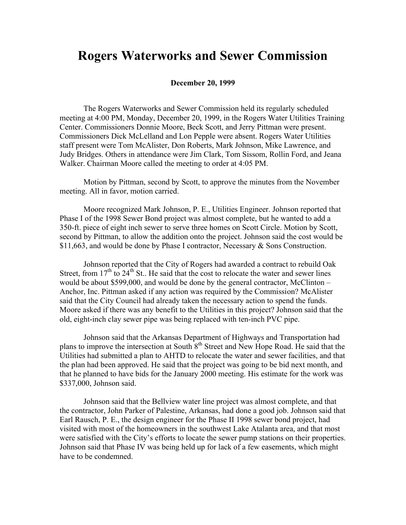## **Rogers Waterworks and Sewer Commission**

## **December 20, 1999**

The Rogers Waterworks and Sewer Commission held its regularly scheduled meeting at 4:00 PM, Monday, December 20, 1999, in the Rogers Water Utilities Training Center. Commissioners Donnie Moore, Beck Scott, and Jerry Pittman were present. Commissioners Dick McLelland and Lon Pepple were absent. Rogers Water Utilities staff present were Tom McAlister, Don Roberts, Mark Johnson, Mike Lawrence, and Judy Bridges. Others in attendance were Jim Clark, Tom Sissom, Rollin Ford, and Jeana Walker. Chairman Moore called the meeting to order at 4:05 PM.

Motion by Pittman, second by Scott, to approve the minutes from the November meeting. All in favor, motion carried.

Moore recognized Mark Johnson, P. E., Utilities Engineer. Johnson reported that Phase I of the 1998 Sewer Bond project was almost complete, but he wanted to add a 350-ft. piece of eight inch sewer to serve three homes on Scott Circle. Motion by Scott, second by Pittman, to allow the addition onto the project. Johnson said the cost would be \$11,663, and would be done by Phase I contractor, Necessary & Sons Construction.

Johnson reported that the City of Rogers had awarded a contract to rebuild Oak Street, from  $17<sup>th</sup>$  to  $24<sup>th</sup>$  St.. He said that the cost to relocate the water and sewer lines would be about \$599,000, and would be done by the general contractor, McClinton – Anchor, Inc. Pittman asked if any action was required by the Commission? McAlister said that the City Council had already taken the necessary action to spend the funds. Moore asked if there was any benefit to the Utilities in this project? Johnson said that the old, eight-inch clay sewer pipe was being replaced with ten-inch PVC pipe.

Johnson said that the Arkansas Department of Highways and Transportation had plans to improve the intersection at South 8<sup>th</sup> Street and New Hope Road. He said that the Utilities had submitted a plan to AHTD to relocate the water and sewer facilities, and that the plan had been approved. He said that the project was going to be bid next month, and that he planned to have bids for the January 2000 meeting. His estimate for the work was \$337,000, Johnson said.

Johnson said that the Bellview water line project was almost complete, and that the contractor, John Parker of Palestine, Arkansas, had done a good job. Johnson said that Earl Rausch, P. E., the design engineer for the Phase II 1998 sewer bond project, had visited with most of the homeowners in the southwest Lake Atalanta area, and that most were satisfied with the City's efforts to locate the sewer pump stations on their properties. Johnson said that Phase IV was being held up for lack of a few easements, which might have to be condemned.